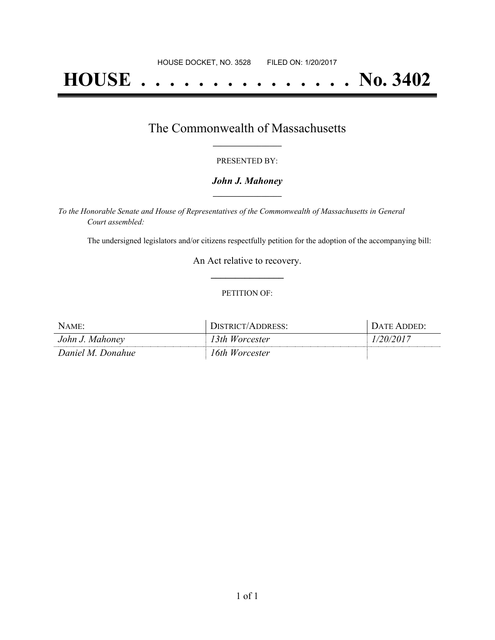# **HOUSE . . . . . . . . . . . . . . . No. 3402**

# The Commonwealth of Massachusetts **\_\_\_\_\_\_\_\_\_\_\_\_\_\_\_\_\_**

#### PRESENTED BY:

#### *John J. Mahoney* **\_\_\_\_\_\_\_\_\_\_\_\_\_\_\_\_\_**

*To the Honorable Senate and House of Representatives of the Commonwealth of Massachusetts in General Court assembled:*

The undersigned legislators and/or citizens respectfully petition for the adoption of the accompanying bill:

An Act relative to recovery. **\_\_\_\_\_\_\_\_\_\_\_\_\_\_\_**

#### PETITION OF:

| $N$ AME:          | DISTRICT/ADDRESS: | <b>I</b> DATE ADDED: |
|-------------------|-------------------|----------------------|
| John J. Mahoney   | 13th Worcester    | 1/20/2017            |
| Daniel M. Donahue | 16th Worcester    |                      |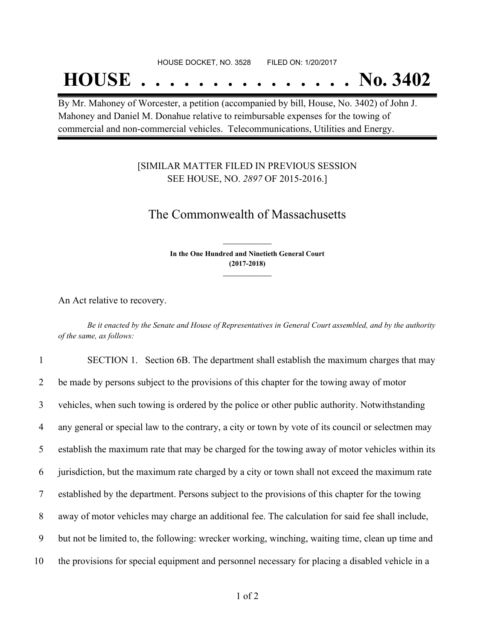# **HOUSE . . . . . . . . . . . . . . . No. 3402**

By Mr. Mahoney of Worcester, a petition (accompanied by bill, House, No. 3402) of John J. Mahoney and Daniel M. Donahue relative to reimbursable expenses for the towing of commercial and non-commercial vehicles. Telecommunications, Utilities and Energy.

### [SIMILAR MATTER FILED IN PREVIOUS SESSION SEE HOUSE, NO. *2897* OF 2015-2016.]

## The Commonwealth of Massachusetts

**In the One Hundred and Ninetieth General Court (2017-2018) \_\_\_\_\_\_\_\_\_\_\_\_\_\_\_**

**\_\_\_\_\_\_\_\_\_\_\_\_\_\_\_**

An Act relative to recovery.

Be it enacted by the Senate and House of Representatives in General Court assembled, and by the authority *of the same, as follows:*

 SECTION 1. Section 6B. The department shall establish the maximum charges that may be made by persons subject to the provisions of this chapter for the towing away of motor vehicles, when such towing is ordered by the police or other public authority. Notwithstanding any general or special law to the contrary, a city or town by vote of its council or selectmen may establish the maximum rate that may be charged for the towing away of motor vehicles within its jurisdiction, but the maximum rate charged by a city or town shall not exceed the maximum rate established by the department. Persons subject to the provisions of this chapter for the towing away of motor vehicles may charge an additional fee. The calculation for said fee shall include, but not be limited to, the following: wrecker working, winching, waiting time, clean up time and the provisions for special equipment and personnel necessary for placing a disabled vehicle in a